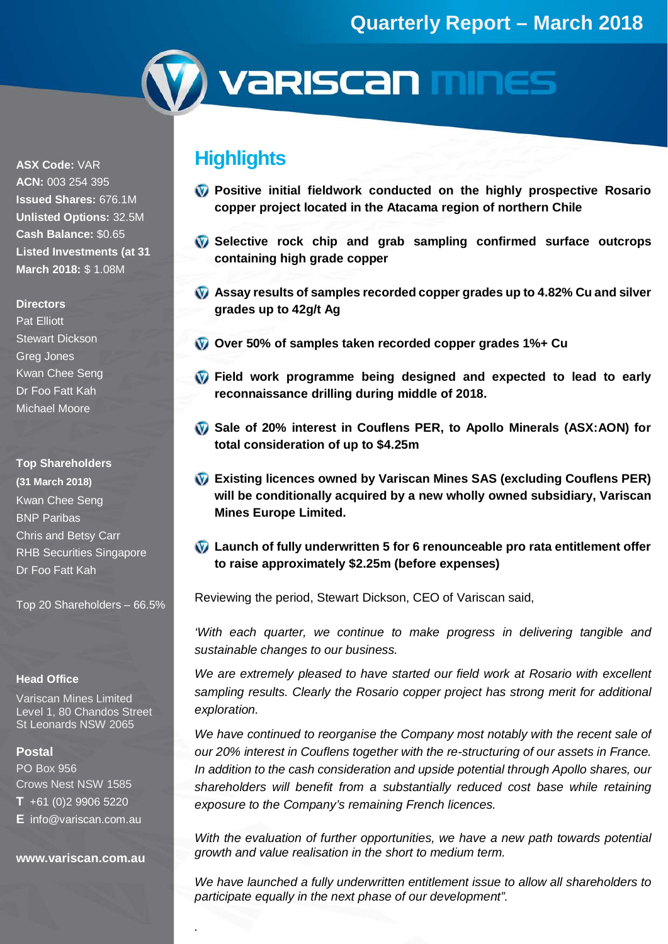# **Quarterly Report – March 2018**



# **(Y)** variscan mines

**ASX Code:** VAR **ACN:** 003 254 395 **Issued Shares:** 676.1M **Unlisted Options:** 32.5M **Cash Balance:** \$0.65 **Listed Investments (at 31 March 2018:** \$ 1.08M

#### **Directors**

Pat Elliott Stewart Dickson Greg Jones Kwan Chee Seng Dr Foo Fatt Kah Michael Moore

**Top Shareholders (31 March 2018)**  Kwan Chee Seng BNP Paribas Chris and Betsy Carr RHB Securities Singapore Dr Foo Fatt Kah

Top 20 Shareholders – 66.5%

#### **Head Office**

Variscan Mines Limited Level 1, 80 Chandos Street St Leonards NSW 2065

#### **Postal**

PO Box 956 Crows Nest NSW 1585 **T** +61 (0)2 9906 5220 **E** info@variscan.com.au

**www.variscan.com.au**

*.*

# **Highlights**

- **Positive initial fieldwork conducted on the highly prospective Rosario copper project located in the Atacama region of northern Chile**
- **Selective rock chip and grab sampling confirmed surface outcrops containing high grade copper**

**Assay results of samples recorded copper grades up to 4.82% Cu and silver grades up to 42g/t Ag**

- **Over 50% of samples taken recorded copper grades 1%+ Cu**
- **Field work programme being designed and expected to lead to early reconnaissance drilling during middle of 2018.**
- **Sale of 20% interest in Couflens PER, to Apollo Minerals (ASX:AON) for total consideration of up to \$4.25m**
- **Existing licences owned by Variscan Mines SAS (excluding Couflens PER) will be conditionally acquired by a new wholly owned subsidiary, Variscan Mines Europe Limited.**
- **Launch of fully underwritten 5 for 6 renounceable pro rata entitlement offer to raise approximately \$2.25m (before expenses)**

Reviewing the period, Stewart Dickson, CEO of Variscan said,

*'With each quarter, we continue to make progress in delivering tangible and sustainable changes to our business.*

We are extremely pleased to have started our field work at Rosario with excellent *sampling results. Clearly the Rosario copper project has strong merit for additional exploration.*

We have continued to reorganise the Company most notably with the recent sale of *our 20% interest in Couflens together with the re-structuring of our assets in France. In addition to the cash consideration and upside potential through Apollo shares, our shareholders will benefit from a substantially reduced cost base while retaining exposure to the Company's remaining French licences.* 

*With the evaluation of further opportunities, we have a new path towards potential growth and value realisation in the short to medium term.* 

*We have launched a fully underwritten entitlement issue to allow all shareholders to participate equally in the next phase of our development".*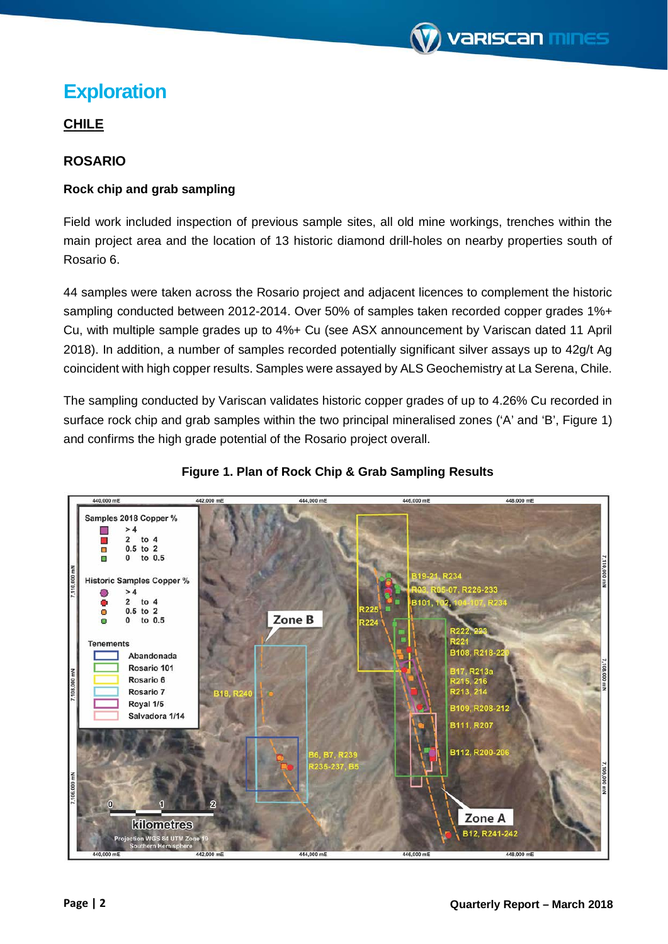

# **Exploration**

# **CHILE**

# **ROSARIO**

# **Rock chip and grab sampling**

Field work included inspection of previous sample sites, all old mine workings, trenches within the main project area and the location of 13 historic diamond drill-holes on nearby properties south of Rosario 6.

44 samples were taken across the Rosario project and adjacent licences to complement the historic sampling conducted between 2012-2014. Over 50% of samples taken recorded copper grades 1%+ Cu, with multiple sample grades up to 4%+ Cu (see ASX announcement by Variscan dated 11 April 2018). In addition, a number of samples recorded potentially significant silver assays up to 42g/t Ag coincident with high copper results. Samples were assayed by ALS Geochemistry at La Serena, Chile.

The sampling conducted by Variscan validates historic copper grades of up to 4.26% Cu recorded in surface rock chip and grab samples within the two principal mineralised zones ('A' and 'B', Figure 1) and confirms the high grade potential of the Rosario project overall.



# **Figure 1. Plan of Rock Chip & Grab Sampling Results**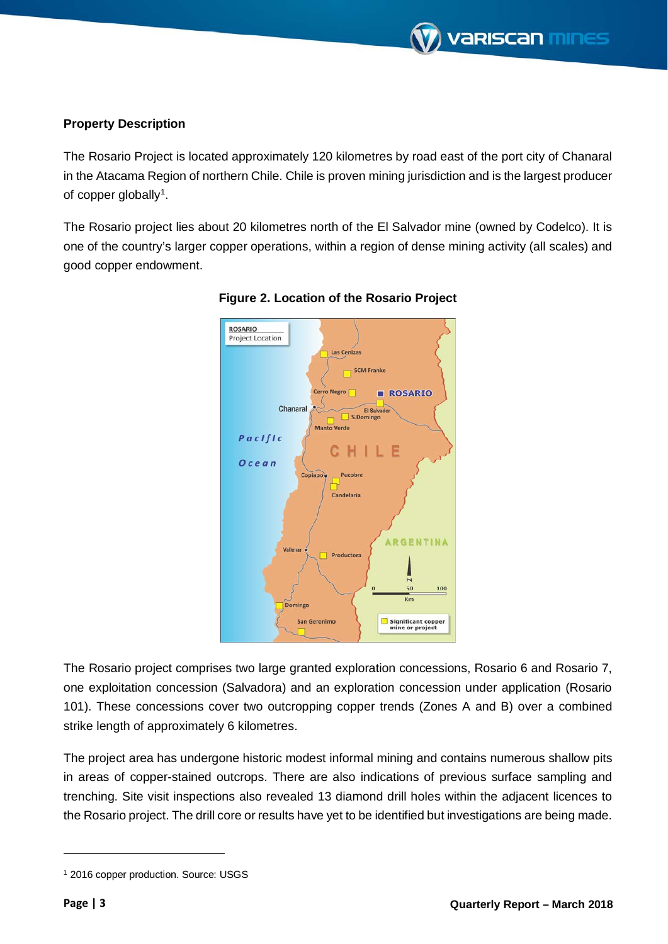

## **Property Description**

The Rosario Project is located approximately 120 kilometres by road east of the port city of Chanaral in the Atacama Region of northern Chile. Chile is proven mining jurisdiction and is the largest producer of copper globally<sup>1</sup>.

The Rosario project lies about 20 kilometres north of the El Salvador mine (owned by Codelco). It is one of the country's larger copper operations, within a region of dense mining activity (all scales) and good copper endowment.



## **Figure 2. Location of the Rosario Project**

The Rosario project comprises two large granted exploration concessions, Rosario 6 and Rosario 7, one exploitation concession (Salvadora) and an exploration concession under application (Rosario 101). These concessions cover two outcropping copper trends (Zones A and B) over a combined strike length of approximately 6 kilometres.

The project area has undergone historic modest informal mining and contains numerous shallow pits in areas of copper-stained outcrops. There are also indications of previous surface sampling and trenching. Site visit inspections also revealed 13 diamond drill holes within the adjacent licences to the Rosario project. The drill core or results have yet to be identified but investigations are being made.

 $\overline{a}$ 

<span id="page-2-0"></span><sup>1</sup> 2016 copper production. Source: USGS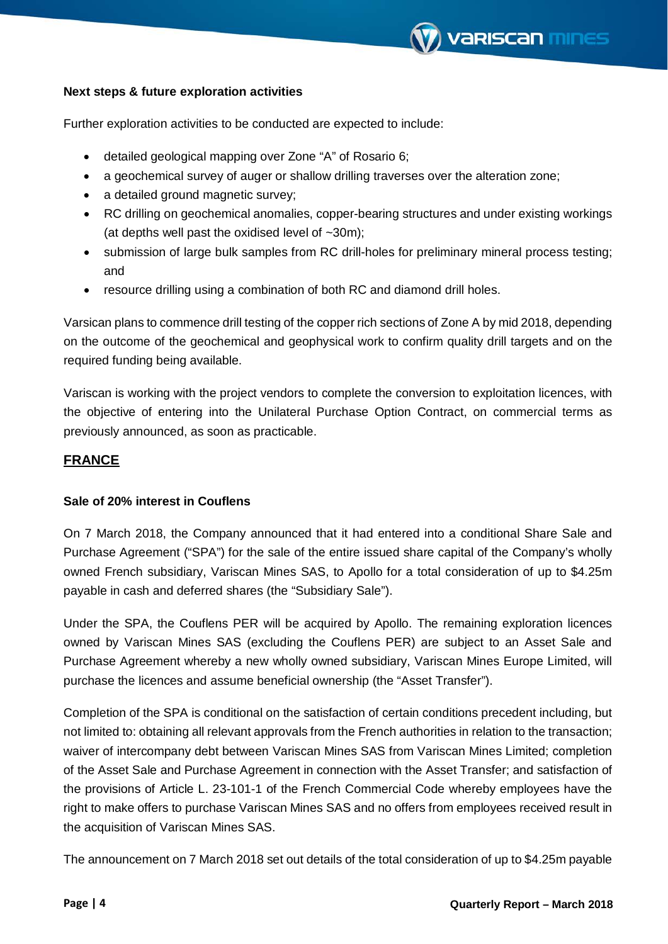## **Next steps & future exploration activities**

Further exploration activities to be conducted are expected to include:

- detailed geological mapping over Zone "A" of Rosario 6;
- a geochemical survey of auger or shallow drilling traverses over the alteration zone;
- a detailed ground magnetic survey;
- RC drilling on geochemical anomalies, copper-bearing structures and under existing workings (at depths well past the oxidised level of  $\sim 30$ m);
- submission of large bulk samples from RC drill-holes for preliminary mineral process testing; and
- resource drilling using a combination of both RC and diamond drill holes.

Varsican plans to commence drill testing of the copper rich sections of Zone A by mid 2018, depending on the outcome of the geochemical and geophysical work to confirm quality drill targets and on the required funding being available.

Variscan is working with the project vendors to complete the conversion to exploitation licences, with the objective of entering into the Unilateral Purchase Option Contract, on commercial terms as previously announced, as soon as practicable.

## **FRANCE**

#### **Sale of 20% interest in Couflens**

On 7 March 2018, the Company announced that it had entered into a conditional Share Sale and Purchase Agreement ("SPA") for the sale of the entire issued share capital of the Company's wholly owned French subsidiary, Variscan Mines SAS, to Apollo for a total consideration of up to \$4.25m payable in cash and deferred shares (the "Subsidiary Sale").

Under the SPA, the Couflens PER will be acquired by Apollo. The remaining exploration licences owned by Variscan Mines SAS (excluding the Couflens PER) are subject to an Asset Sale and Purchase Agreement whereby a new wholly owned subsidiary, Variscan Mines Europe Limited, will purchase the licences and assume beneficial ownership (the "Asset Transfer").

Completion of the SPA is conditional on the satisfaction of certain conditions precedent including, but not limited to: obtaining all relevant approvals from the French authorities in relation to the transaction; waiver of intercompany debt between Variscan Mines SAS from Variscan Mines Limited; completion of the Asset Sale and Purchase Agreement in connection with the Asset Transfer; and satisfaction of the provisions of Article L. 23-101-1 of the French Commercial Code whereby employees have the right to make offers to purchase Variscan Mines SAS and no offers from employees received result in the acquisition of Variscan Mines SAS.

The announcement on 7 March 2018 set out details of the total consideration of up to \$4.25m payable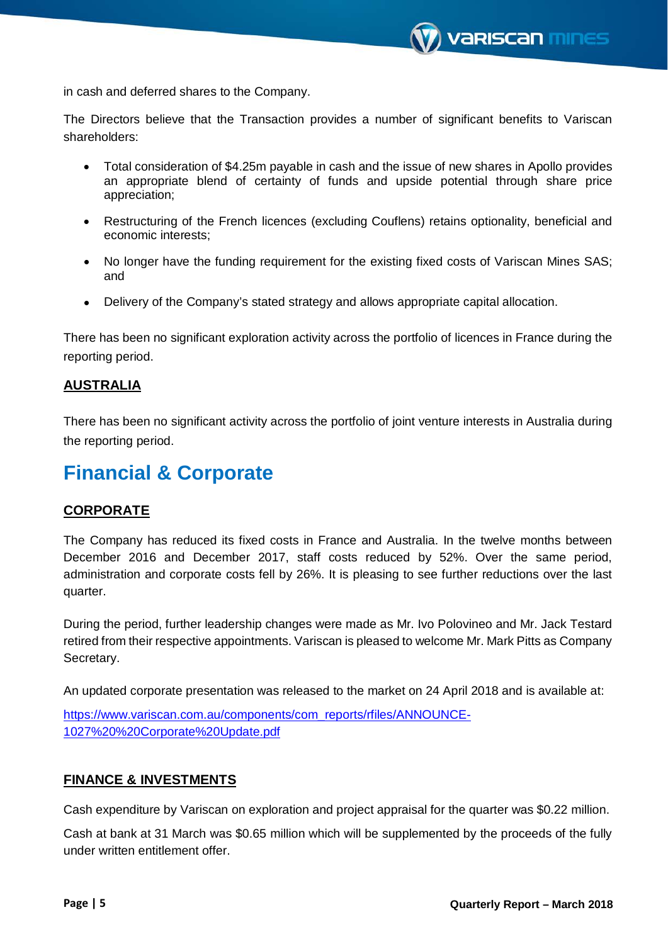in cash and deferred shares to the Company.

The Directors believe that the Transaction provides a number of significant benefits to Variscan shareholders:

- Total consideration of \$4.25m payable in cash and the issue of new shares in Apollo provides an appropriate blend of certainty of funds and upside potential through share price appreciation;
- Restructuring of the French licences (excluding Couflens) retains optionality, beneficial and economic interests;
- No longer have the funding requirement for the existing fixed costs of Variscan Mines SAS; and
- Delivery of the Company's stated strategy and allows appropriate capital allocation.

There has been no significant exploration activity across the portfolio of licences in France during the reporting period.

## **AUSTRALIA**

There has been no significant activity across the portfolio of joint venture interests in Australia during the reporting period.

# **Financial & Corporate**

# **CORPORATE**

The Company has reduced its fixed costs in France and Australia. In the twelve months between December 2016 and December 2017, staff costs reduced by 52%. Over the same period, administration and corporate costs fell by 26%. It is pleasing to see further reductions over the last quarter.

During the period, further leadership changes were made as Mr. Ivo Polovineo and Mr. Jack Testard retired from their respective appointments. Variscan is pleased to welcome Mr. Mark Pitts as Company Secretary.

An updated corporate presentation was released to the market on 24 April 2018 and is available at:

[https://www.variscan.com.au/components/com\\_reports/rfiles/ANNOUNCE-](https://www.variscan.com.au/components/com_reports/rfiles/ANNOUNCE-1027%20%20Corporate%20Update.pdf)[1027%20%20Corporate%20Update.pdf](https://www.variscan.com.au/components/com_reports/rfiles/ANNOUNCE-1027%20%20Corporate%20Update.pdf)

#### **FINANCE & INVESTMENTS**

Cash expenditure by Variscan on exploration and project appraisal for the quarter was \$0.22 million.

Cash at bank at 31 March was \$0.65 million which will be supplemented by the proceeds of the fully under written entitlement offer.